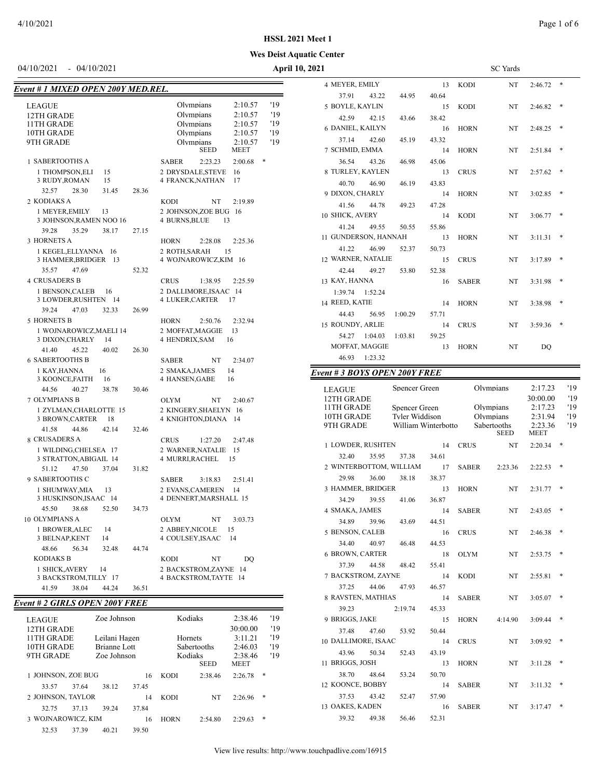### *Event # 1 MIXED OPEN 200Y MED.REL.*

### **Wes Deist Aquatic Center**

04/10/2021 - 04/10/2021 **April 10, 2021** SC Yards 4 MEYER, EMILY 13 KODI NT 2:46.72 \* 37.91 43.22 44.95 40.64 5 BOYLE, KAYLIN 15 KODI NT 2:46.82 \* 42.59 42.15 43.66 38.42 6 DANIEL, KAILYN 16 HORN NT 2:48.25 \* 37.14 42.60 45.19 43.32 7 SCHMID, EMMA 14 HORN NT 2:51.84 \* 36.54 43.26 46.98 45.06 8 TURLEY, KAYLEN 13 CRUS NT 2:57.62 \* 40.70 46.90 46.19 43.83 9 DIXON, CHARLY 14 HORN NT 3:02.85 \* 41.56 44.78 49.23 47.28 10 SHICK, AVERY 14 KODI NT 3:06.77 \* 41.24 49.55 50.55 55.86 11 GUNDERSON, HANNAH 13 HORN NT 3:11.31 \* 41.22 46.99 52.37 50.73 12 WARNER, NATALIE 15 CRUS NT 3:17.89 \* 42.44 49.27 53.80 52.38 13 KAY, HANNA 16 SABER NT 3:31.98 \* 1:39.74 1:52.24 14 REED, KATIE 14 HORN NT 3:38.98 \* 44.43 56.95 1:00.29 57.71 15 ROUNDY, ARLIE 14 CRUS NT 3:59.36 \* 54.27 1:04.03 1:03.81 59.25 MOFFAT, MAGGIE 13 HORN NT DQ 46.93 1:23.32

### *Event # 3 BOYS OPEN 200Y FREE*

| <b>LEAGUE</b>           |       | Spencer Green       |       |              | Olympians   | 2:17.23     |   | '19 |
|-------------------------|-------|---------------------|-------|--------------|-------------|-------------|---|-----|
| 12TH GRADE              |       |                     |       |              |             | 30:00.00    |   | '19 |
| 11TH GRADE              |       | Spencer Green       |       |              | Olympians   | 2:17.23     |   | '19 |
| 10TH GRADE              |       | Tyler Widdison      |       |              | Olympians   | 2:31.94     |   | '19 |
| 9TH GRADE               |       | William Winterbotto |       |              | Sabertooths | 2:23.36     |   | '19 |
|                         |       |                     |       |              | <b>SEED</b> | <b>MEET</b> |   |     |
| 1 LOWDER, RUSHTEN       |       |                     | 14    | <b>CRUS</b>  | <b>NT</b>   | 2:20.34     | * |     |
| 32.40                   | 35.95 | 37.38               | 34.61 |              |             |             |   |     |
| 2 WINTERBOTTOM, WILLIAM |       |                     | 17    | SABER        | 2:23.36     | 2:22.53     | * |     |
| 29.98                   | 36.00 | 38.18               | 38.37 |              |             |             |   |     |
| 3 HAMMER, BRIDGER       |       |                     | 13    | <b>HORN</b>  | NT          | 2:31.77     | * |     |
| 34.29                   | 39.55 | 41.06               | 36.87 |              |             |             |   |     |
| 4 SMAKA, JAMES          |       |                     | 14    | <b>SABER</b> | NT          | 2:43.05     | * |     |
| 34.89                   | 39.96 | 43.69               | 44.51 |              |             |             |   |     |
| 5 BENSON, CALEB         |       |                     | 16    | <b>CRUS</b>  | NT.         | 2:46.38     | * |     |
| 34.40                   | 40.97 | 46.48               | 44.53 |              |             |             |   |     |
| <b>6 BROWN, CARTER</b>  |       |                     | 18    | <b>OLYM</b>  | NT          | 2:53.75     | * |     |
| 37.39                   | 44.58 | 48.42               | 55.41 |              |             |             |   |     |
| 7 BACKSTROM, ZAYNE      |       |                     | 14    | <b>KODI</b>  | NT.         | 2:55.81     | * |     |
| 37.25                   | 44.06 | 47.93               | 46.57 |              |             |             |   |     |
| 8 RAVSTEN, MATHIAS      |       |                     | 14    | <b>SABER</b> | <b>NT</b>   | 3:05.07     | * |     |
| 39.23                   |       | 2:19.74             | 45.33 |              |             |             |   |     |
| 9 BRIGGS, JAKE          |       |                     | 15    | <b>HORN</b>  | 4:14.90     | 3:09.44     | * |     |
| 37.48                   | 47.60 | 53.92               | 50.44 |              |             |             |   |     |
| 10 DALLIMORE, ISAAC     |       |                     | 14    | <b>CRUS</b>  | NT          | 3:09.92     | * |     |
| 43.96                   | 50.34 | 52.43               | 43.19 |              |             |             |   |     |
| 11 BRIGGS, JOSH         |       |                     | 13    | <b>HORN</b>  | NT          | 3:11.28     | * |     |
| 38.70                   | 48.64 | 53.24               | 50.70 |              |             |             |   |     |
| 12 KOONCE, BOBBY        |       |                     | 14    | <b>SABER</b> | NT          | 3:11.32     | * |     |
| 37.53                   | 43.42 | 52.47               | 57.90 |              |             |             |   |     |
| 13 OAKES, KADEN         |       |                     | 16    | <b>SABER</b> | NT          | 3:17.47     | * |     |
| 39.32                   | 49.38 | 56.46               | 52.31 |              |             |             |   |     |

| LEAGUE<br>12TH GRADE<br>11TH GRADE<br>10TH GRADE<br>9TH GRADE |       | '19<br>Olympians<br>2:10.57<br>'19<br>Olympians<br>2:10.57<br>'19<br>Olympians<br>2:10.57<br>Olympians<br>'19<br>2:10.57<br>'19<br>Olympians<br>2:10.57<br><b>SEED</b><br>MEET |
|---------------------------------------------------------------|-------|--------------------------------------------------------------------------------------------------------------------------------------------------------------------------------|
| 1 SABERTOOTHS A                                               |       | *<br><b>SABER</b><br>2:23.23<br>2:00.68                                                                                                                                        |
| 1 THOMPSON, ELI<br>15                                         |       | 2 DRYSDALE, STEVE<br>-16                                                                                                                                                       |
| 3 RUDY, ROMAN<br>15                                           |       | 4 FRANCK, NATHAN<br>17                                                                                                                                                         |
| 32.57<br>28.30<br>31.45                                       | 28.36 |                                                                                                                                                                                |
| 2 KODIAKS A                                                   |       | NT<br><b>KODI</b><br>2:19.89                                                                                                                                                   |
| 1 MEYER, EMILY<br>13<br>3 JOHNSON, RAMEN NOO 16               |       | 2 JOHNSON, ZOE BUG<br>-16<br><b>4 BURNS, BLUE</b><br>13                                                                                                                        |
| 35.29<br>39.28<br>38.17                                       | 27.15 |                                                                                                                                                                                |
| 3 HORNETS A                                                   |       | HORN<br>2:28.08<br>2:25.36                                                                                                                                                     |
| 1 KEGEL, ELLYANNA<br>16<br>3 HAMMER, BRIDGER<br>13            |       | 2 ROTH, SARAH<br>15<br>4 WOJNAROWICZ, KIM 16                                                                                                                                   |
| 35.57<br>47.69                                                | 52.32 |                                                                                                                                                                                |
| <b>4 CRUSADERS B</b>                                          |       | <b>CRUS</b><br>1:38.95<br>2:25.59                                                                                                                                              |
| 1 BENSON, CALEB<br>16<br>3 LOWDER,RUSHTEN 14                  |       | 2 DALLIMORE, ISAAC<br>-14<br>4 LUKER,CARTER<br>17                                                                                                                              |
| 39.24<br>47.03<br>32.33                                       | 26.99 |                                                                                                                                                                                |
| 5 HORNETS B                                                   |       | 2:50.76<br>2:32.94<br>HORN                                                                                                                                                     |
| 1 WOJNAROWICZ, MAELI 14<br>3 DIXON, CHARLY<br>14              |       | 2 MOFFAT, MAGGIE<br>13<br><b>4 HENDRIX, SAM</b><br>16                                                                                                                          |
| 41.40<br>45.22<br>40.02                                       | 26.30 |                                                                                                                                                                                |
| <b>6 SABERTOOTHS B</b>                                        |       | NT<br>2:34.07<br><b>SABER</b>                                                                                                                                                  |
| 1 KAY, HANNA<br>16<br>3 KOONCE, FAITH<br>16                   |       | 2 SMAKA, JAMES<br>14<br>4 HANSEN, GABE<br>16                                                                                                                                   |
| 44.56<br>40.27<br>38.78                                       | 30.46 |                                                                                                                                                                                |
| <b>7 OLYMPIANS B</b>                                          |       | <b>OLYM</b><br>NT<br>2:40.67                                                                                                                                                   |
| 1 ZYLMAN, CHARLOTTE 15<br>3 BROWN,CARTER<br>18                |       | 2 KINGERY, SHAELYN<br>-16<br>4 KNIGHTON, DIANA<br>14                                                                                                                           |
| 41.58<br>44.86<br>42.14                                       | 32.46 |                                                                                                                                                                                |
| <b>8 CRUSADERS A</b>                                          |       | <b>CRUS</b><br>1:27.20<br>2:47.48                                                                                                                                              |
| 1 WILDING, CHELSEA 17<br>3 STRATTON, ABIGAIL 14               |       | 2 WARNER, NATALIE<br>15<br><b>4 MURRI, RACHEL</b><br>15                                                                                                                        |
| 51.12<br>37.04<br>47.50                                       | 31.82 |                                                                                                                                                                                |
| 9 SABERTOOTHS C                                               |       | <b>SABER</b><br>3:18.83<br>2:51.41                                                                                                                                             |
| 1 SHUMWAY, MIA<br>13                                          |       | 2 EVANS, CAMEREN<br>14                                                                                                                                                         |
| 3 HUSKINSON, ISAAC 14                                         |       | 4 DENNERT, MARSHALL 15                                                                                                                                                         |
| 45.50<br>38.68<br>52.50                                       | 34.73 |                                                                                                                                                                                |
| 10 OLYMPIANS A                                                |       | <b>OLYM</b><br>NT<br>3:03.73                                                                                                                                                   |
| 1 BROWER, ALEC<br>14                                          |       | 2 ABBEY, NICOLE<br>15                                                                                                                                                          |
| 3 BELNAP,KENT<br>14                                           |       | 4 COULSEY, ISAAC<br>14                                                                                                                                                         |
| 48.66<br>56.34<br>32.48                                       | 44.74 |                                                                                                                                                                                |
| <b>KODIAKS B</b>                                              |       | NT<br><b>KODI</b><br>DO                                                                                                                                                        |
| 1 SHICK, AVERY<br>14<br>3 BACKSTROM, TILLY 17                 |       | 2 BACKSTROM, ZAYNE<br>14<br>4 BACKSTROM, TAYTE<br>14                                                                                                                           |
| 41.59<br>38.04<br>44.24                                       | 36.51 |                                                                                                                                                                                |

#### *Event # 2 GIRLS OPEN 200Y FREE*

| <b>LEAGUE</b>      | Zoe Johnson   |       |             | Kodiaks                | 2:38.46                | '19 |
|--------------------|---------------|-------|-------------|------------------------|------------------------|-----|
| 12TH GRADE         |               |       |             |                        | 30:00.00               | '19 |
| 11TH GRADE         | Leilani Hagen |       | Hornets     |                        | 3:11.21                | '19 |
| 10TH GRADE         | Brianne Lott  |       |             | Sabertooths            | 2:46.03                | '19 |
| 9TH GRADE          | Zoe Johnson   |       |             | Kodiaks<br><b>SEED</b> | 2:38.46<br><b>MEET</b> | '19 |
|                    |               |       |             |                        |                        |     |
| 1 JOHNSON, ZOE BUG |               | 16    | <b>KODI</b> | 2:38.46                | 2:26.78                | *   |
| 37.64<br>33.57     | 38.12         | 37.45 |             |                        |                        |     |
| 2 JOHNSON, TAYLOR  |               | 14    | <b>KODI</b> | NT                     | 2:26.96                | $*$ |
| 32.75<br>37.13     | 39.24         | 37.84 |             |                        |                        |     |
| 3 WOJNAROWICZ, KIM |               | 16    | <b>HORN</b> | 2:54.80                | 2:29.63                | *   |
| 37.39<br>32.53     | 40.21         | 39.50 |             |                        |                        |     |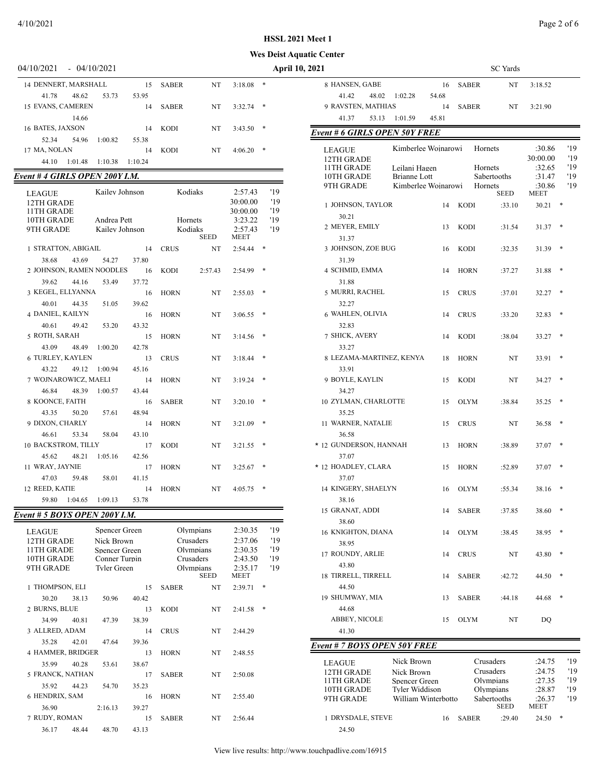#### **Wes Deist Aquat**

| 04/10/2021                     | $-04/10/2021$ |                |         |              |    |          |        | <b>April 10, 2021</b>         |                               |              | <b>SC</b> Yards        |
|--------------------------------|---------------|----------------|---------|--------------|----|----------|--------|-------------------------------|-------------------------------|--------------|------------------------|
| 14 DENNERT, MARSHALL           |               |                | 15      | <b>SABER</b> | NT | 3:18.08  | ∗      | 8 HANSEN, GABE                | 16                            | <b>SABER</b> | NT                     |
| 41.78                          | 48.62         | 53.73          | 53.95   |              |    |          |        | 48.02<br>41.42                | 1:02.28<br>54.68              |              |                        |
| 15 EVANS, CAMEREN              |               |                | 14      | <b>SABER</b> | NT | 3:32.74  | *      | 9 RAVSTEN, MATHIAS            | 14                            | <b>SABER</b> | NT                     |
|                                | 14.66         |                |         |              |    |          |        | 41.37<br>53.13                | 1:01.59<br>45.81              |              |                        |
| 16 BATES, JAXSON               |               |                | 14      | <b>KODI</b>  | NT | 3:43.50  | $\ast$ | Event # 6 GIRLS OPEN 50Y FREE |                               |              |                        |
| 52.34                          | 54.96         | 1:00.82        | 55.38   |              |    |          |        |                               |                               |              |                        |
| 17 MA, NOLAN                   |               |                | 14      | <b>KODI</b>  | NT | 4:06.20  | $\ast$ | <b>LEAGUE</b>                 | Kimberlee Woinarowi           |              | Hornets                |
| 44.10                          | 1:01.48       | 1:10.38        | 1:10.24 |              |    |          |        | 12TH GRADE                    |                               |              |                        |
| Event # 4 GIRLS OPEN 200Y I.M. |               |                |         |              |    |          |        | 11TH GRADE<br>10TH GRADE      | Leilani Hagen<br>Brianne Lott |              | Hornets<br>Sabertooths |
|                                |               |                |         |              |    |          |        | 9TH GRADE                     | Kimberlee Woinarowi           |              | Hornets                |
| <b>LEAGUE</b>                  |               | Kailev Johnson |         | Kodiaks      |    | 2:57.43  | '19    |                               |                               |              | <b>SEED</b>            |
| 12TH GRADE                     |               |                |         |              |    | 30:00.00 | '19    | 1 JOHNSON, TAYLOR             | 14                            | <b>KODI</b>  | :33.10                 |
| 11TH GRADE                     |               |                |         |              |    | 30:00.00 | '19    | 30.21                         |                               |              |                        |
| 10TH GRADE                     |               | Andrea Pett    |         | Hornets      |    | 3:23.22  | '19    | 2 MEYER, EMILY                | 13                            |              |                        |
| 9TH GRADE                      |               | Kailev Johnson |         | Kodiaks      |    | 2:57.43  | '19    |                               |                               | <b>KODI</b>  | :31.54                 |

| 91 H UKADE                  |       | Kalley Johnson      |       | <b>NOCHAKS</b> | <b>SEED</b> | 2:31.45<br><b>MEET</b> |     | 12 |
|-----------------------------|-------|---------------------|-------|----------------|-------------|------------------------|-----|----|
| 1 STRATTON, ABIGAIL         |       |                     | 14    | <b>CRUS</b>    | NT          | 2:54.44                | *   |    |
| 38.68                       | 43.69 | 54.27               | 37.80 |                |             |                        |     |    |
| 2 JOHNSON, RAMEN NOODLES 16 |       |                     |       | KODI           | 2:57.43     | 2:54.99                | *   |    |
| 39.62                       | 44.16 | 53.49               | 37.72 |                |             |                        |     |    |
| 3 KEGEL, ELLYANNA           |       |                     | 16    | <b>HORN</b>    | NT          | 2:55.03                | *   |    |
| 40.01                       | 44.35 | 51.05               | 39.62 |                |             |                        |     |    |
| 4 DANIEL, KAILYN            |       |                     | 16    | <b>HORN</b>    | NT.         | 3:06.55                | *   |    |
| 40.61 49.42                 |       | 53.20               | 43.32 |                |             |                        |     |    |
| 5 ROTH, SARAH               |       |                     | 15    | <b>HORN</b>    | NT          | 3:14.56                | *   |    |
| 43.09 48.49                 |       | 1:00.20             | 42.78 |                |             |                        |     |    |
| 6 TURLEY, KAYLEN            |       |                     | 13    | <b>CRUS</b>    | NT          | 3:18.44                | *   |    |
|                             |       | 43.22 49.12 1:00.94 | 45.16 |                |             |                        |     |    |
| 7 WOJNAROWICZ, MAELI        |       |                     | 14    | <b>HORN</b>    | NT          | 3:19.24                | $*$ |    |
| 46.84                       | 48.39 | 1:00.57             | 43.44 |                |             |                        |     |    |
| 8 KOONCE, FAITH             |       |                     | 16    | <b>SABER</b>   | <b>NT</b>   | 3:20.10                | *   |    |
| 43.35                       | 50.20 | 57.61               | 48.94 |                |             |                        |     |    |
| 9 DIXON, CHARLY             |       |                     | 14    | <b>HORN</b>    | NT          | 3:21.09                | *   |    |
| 46.61                       | 53.34 | 58.04               | 43.10 |                |             |                        |     |    |
| 10 BACKSTROM, TILLY         |       |                     | 17    | <b>KODI</b>    | NT          | 3:21.55                | *   |    |
| 45.62 48.21                 |       | 1:05.16             | 42.56 |                |             |                        |     |    |
| 11 WRAY, JAYNIE             |       |                     | 17    | <b>HORN</b>    | NT          | 3:25.67                | *   |    |
| 47.03                       | 59.48 | 58.01               | 41.15 |                |             |                        |     |    |
| 12 REED, KATIE              |       |                     | 14    | <b>HORN</b>    | NT          | 4:05.75                | *   |    |

## *Event # 5 BOYS OPEN 200Y I.M.*

59.80 1:04.65 1:09.13 53.78

| <b>LEAGUE</b><br>12TH GRADE<br>11TH GRADE<br>10TH GRADE<br>9TH GRADE |       | Spencer Green<br>Nick Brown<br>Spencer Green<br>Conner Turpin<br>Tyler Green |       | Olympians<br>Crusaders<br>Olympians<br>Crusaders<br>Olympians | <b>SEED</b> | 2:30.35<br>2:37.06<br>2:30.35<br>2:43.50<br>2:35.17<br><b>MEET</b> | '19<br>'19<br>'19<br>'19<br>'19 |
|----------------------------------------------------------------------|-------|------------------------------------------------------------------------------|-------|---------------------------------------------------------------|-------------|--------------------------------------------------------------------|---------------------------------|
| 1 THOMPSON, ELI                                                      |       |                                                                              | 15    | <b>SABER</b>                                                  | NT          | 2:39.71                                                            | *                               |
| 30.20                                                                | 38.13 | 50.96                                                                        | 40.42 |                                                               |             |                                                                    |                                 |
| 2 BURNS, BLUE                                                        |       |                                                                              | 13    | <b>KODI</b>                                                   | NT          | 2:41.58                                                            | *                               |
| 34.99                                                                | 40.81 | 47.39                                                                        | 38.39 |                                                               |             |                                                                    |                                 |
| 3 ALLRED, ADAM                                                       |       |                                                                              | 14    | <b>CRUS</b>                                                   | NT          | 2:44.29                                                            |                                 |
| 35.28                                                                | 42.01 | 47.64                                                                        | 39.36 |                                                               |             |                                                                    |                                 |
| <b>4 HAMMER, BRIDGER</b>                                             |       |                                                                              | 13    | <b>HORN</b>                                                   | NT          | 2:48.55                                                            |                                 |
| 35.99                                                                | 40.28 | 53.61                                                                        | 38.67 |                                                               |             |                                                                    |                                 |
| 5 FRANCK, NATHAN                                                     |       |                                                                              | 17    | <b>SABER</b>                                                  | NT          | 2:50.08                                                            |                                 |
| 35.92                                                                | 44.23 | 54.70                                                                        | 35.23 |                                                               |             |                                                                    |                                 |
| 6 HENDRIX, SAM                                                       |       |                                                                              | 16    | <b>HORN</b>                                                   | NT          | 2:55.40                                                            |                                 |
| 36.90                                                                |       | 2:16.13                                                                      | 39.27 |                                                               |             |                                                                    |                                 |
| 7 RUDY, ROMAN                                                        |       |                                                                              | 15    | <b>SABER</b>                                                  | NT          | 2:56.44                                                            |                                 |
| 36.17                                                                | 48.44 | 48.70                                                                        | 43.13 |                                                               |             |                                                                    |                                 |

| tic Center<br>2021                |                             |             |              | <b>SC</b> Yards        |                    |   |            |
|-----------------------------------|-----------------------------|-------------|--------------|------------------------|--------------------|---|------------|
|                                   |                             |             |              |                        |                    |   |            |
| 8 HANSEN, GABE<br>41.42<br>48.02  | 1:02.28                     | 16<br>54.68 | <b>SABER</b> | NT                     | 3:18.52            |   |            |
| 9 RAVSTEN, MATHIAS                |                             | 14          | <b>SABER</b> | NT                     | 3:21.90            |   |            |
| 41.37<br>53.13                    | 1:01.59                     | 45.81       |              |                        |                    |   |            |
| Event # 6 GIRLS OPEN 50Y FREE     |                             |             |              |                        |                    |   |            |
|                                   |                             |             |              |                        |                    |   |            |
| <b>LEAGUE</b><br>12TH GRADE       | Kimberlee Woinarowi         |             |              | Hornets                | :30.86<br>30:00.00 |   | '19<br>'19 |
| 11TH GRADE                        | Leilani Hagen               |             |              | Hornets                | :32.65             |   | '19        |
| 10TH GRADE                        | <b>Brianne Lott</b>         |             |              | Sabertooths            | :31.47             |   | '19        |
| 9TH GRADE                         | Kimberlee Wojnarowi         |             |              | Hornets<br>SEED        | :30.86<br>MEET     |   | '19        |
| 1 JOHNSON, TAYLOR<br>30.21        |                             | 14          | <b>KODI</b>  | :33.10                 | 30.21              | ∗ |            |
| 2 MEYER, EMILY<br>31.37           |                             | 13          | KODI         | :31.54                 | 31.37              | ∗ |            |
| 3 JOHNSON, ZOE BUG                |                             | 16          | KODI         | :32.35                 | 31.39              | * |            |
| 31.39<br>4 SCHMID, EMMA           |                             | 14          | <b>HORN</b>  | :37.27                 | 31.88              | * |            |
| 31.88<br>5 MURRI, RACHEL          |                             | 15          | <b>CRUS</b>  | :37.01                 | 32.27              | * |            |
| 32.27<br><b>6 WAHLEN, OLIVIA</b>  |                             | 14          | <b>CRUS</b>  | :33.20                 | 32.83              | * |            |
| 32.83<br>7 SHICK, AVERY           |                             | 14          | KODI         | :38.04                 | 33.27              | * |            |
| 33.27<br>8 LEZAMA-MARTINEZ, KENYA |                             | 18          | <b>HORN</b>  | NT                     | 33.91              | * |            |
| 33.91<br>9 BOYLE, KAYLIN          |                             | 15          | <b>KODI</b>  | NT                     | 34.27              | ∗ |            |
| 34.27<br>10 ZYLMAN, CHARLOTTE     |                             | 15          | OLYM         | :38.84                 | 35.25              | ∗ |            |
| 35.25<br>11 WARNER, NATALIE       |                             | 15          | <b>CRUS</b>  | NT                     | 36.58              | * |            |
| 36.58<br>* 12 GUNDERSON, HANNAH   |                             | 13          | <b>HORN</b>  | :38.89                 | 37.07              | ∗ |            |
| 37.07<br>* 12 HOADLEY, CLARA      |                             | 15          | <b>HORN</b>  | :52.89                 | 37.07              | * |            |
| 37.07<br>14 KINGERY, SHAELYN      |                             | 16          | <b>OLYM</b>  | :55.34                 | 38.16              | * |            |
| 38.16<br>15 GRANAT, ADDI          |                             | 14          | SABER        | :37.85                 | 38.60              | * |            |
| 38.60<br>16 KNIGHTON, DIANA       |                             | 14          | <b>OLYM</b>  | :38.45                 | 38.95              | * |            |
| 38.95<br>17 ROUNDY, ARLIE         |                             | 14          | <b>CRUS</b>  | NT                     | 43.80              | * |            |
| 43.80<br>18 TIRRELL, TIRRELL      |                             | 14          | SABER        | :42.72                 | 44.50              | * |            |
| 44.50<br>19 SHUMWAY, MIA<br>44.68 |                             | 13          | <b>SABER</b> | :44.18                 | 44.68              | * |            |
| ABBEY, NICOLE                     |                             | 15          | <b>OLYM</b>  | NT                     | DQ                 |   |            |
| 41.30                             |                             |             |              |                        |                    |   |            |
| Event # 7 BOYS OPEN 50Y FREE      |                             |             |              |                        |                    |   |            |
| LEAGUE                            | Nick Brown                  |             |              | Crusaders              | :24.75             |   | '19        |
| 12TH GRADE<br>11TH GRADE          | Nick Brown<br>Spencer Green |             |              | Crusaders<br>Olympians | :24.75<br>:27.35   |   | '19<br>'19 |
| 10TH GRADE                        | Tyler Widdison              |             |              | Olympians              | :28.87             |   | '19        |
| 9TH GRADE                         | William Winterbotto         |             |              | Sabertooths<br>SEED    | :26.37<br>MEET     |   | '19        |
| 1 DRYSDALE, STEVE                 |                             | 16          | SABER        | :29.40                 | 24.50              |   |            |
| 24.50                             |                             |             |              |                        |                    |   |            |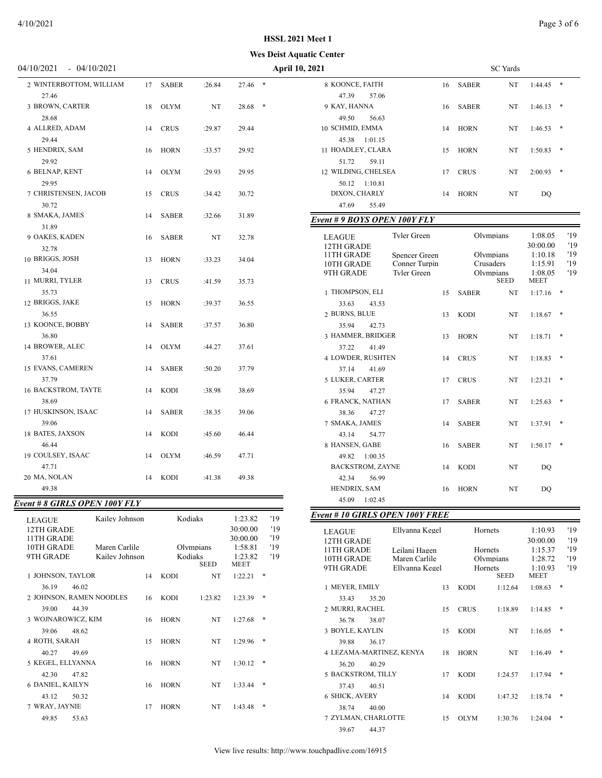#### 04/10/2021 - 04/10/2021 **April 10, 2021** SC Yards

### **Wes Deist Aquatic Center HSSL 2021 Meet 1**

| 2 WINTERBOTTOM, WILLIAM<br>27.46                     | 17 | <b>SABER</b>                 | :26.84 | 27.46   |  |
|------------------------------------------------------|----|------------------------------|--------|---------|--|
| 3 BROWN, CARTER                                      | 18 | <b>OLYM</b>                  | NT     | 28.68   |  |
| 28.68                                                |    |                              |        |         |  |
| 4 ALLRED, ADAM<br>29.44                              | 14 | <b>CRUS</b>                  | :29.87 | 29.44   |  |
| 5 HENDRIX, SAM                                       | 16 | <b>HORN</b>                  | :33.57 | 29.92   |  |
| 29.92                                                |    |                              |        |         |  |
| 6 BELNAP, KENT<br>29.95                              | 14 | <b>OLYM</b>                  | :29.93 | 29.95   |  |
| 7 CHRISTENSEN, JACOB                                 | 15 | <b>CRUS</b>                  | :34.42 | 30.72   |  |
| 30.72                                                |    |                              |        |         |  |
| 8 SMAKA, JAMES                                       | 14 | <b>SABER</b>                 | :32.66 | 31.89   |  |
| 31.89                                                |    |                              |        |         |  |
| 9 OAKES, KADEN                                       | 16 | <b>SABER</b>                 | NT     | 32.78   |  |
| 32.78                                                |    |                              |        |         |  |
| 10 BRIGGS, JOSH                                      | 13 | <b>HORN</b>                  | :33.23 | 34.04   |  |
| 34.04                                                |    |                              |        |         |  |
| 11 MURRI, TYLER                                      | 13 | <b>CRUS</b>                  | :41.59 | 35.73   |  |
| 35.73                                                |    |                              |        |         |  |
| 12 BRIGGS, JAKE<br>36.55                             | 15 | <b>HORN</b>                  | :39.37 | 36.55   |  |
| 13 KOONCE, BOBBY                                     | 14 | <b>SABER</b>                 | :37.57 | 36.80   |  |
| 36.80                                                |    |                              |        |         |  |
| 14 BROWER, ALEC                                      | 14 | <b>OLYM</b>                  | :44.27 | 37.61   |  |
| 37.61                                                |    |                              |        |         |  |
| 15 EVANS, CAMEREN                                    | 14 | <b>SABER</b>                 | :50.20 | 37.79   |  |
| 37.79                                                |    |                              |        |         |  |
| 16 BACKSTROM, TAYTE                                  | 14 | KODI                         | :38.98 | 38.69   |  |
| 38.69                                                |    |                              |        |         |  |
| 17 HUSKINSON, ISAAC                                  | 14 | SABER                        | :38.35 | 39.06   |  |
| 39.06                                                |    |                              |        |         |  |
| 18 BATES, JAXSON                                     | 14 | <b>KODI</b>                  | :45.60 | 46.44   |  |
| 46.44                                                |    |                              |        |         |  |
| 19 COULSEY, ISAAC                                    | 14 | <b>OLYM</b>                  | :46.59 | 47.71   |  |
| 47.71                                                |    |                              |        |         |  |
| 20 MA, NOLAN                                         | 14 | <b>KODI</b>                  | :41.38 | 49.38   |  |
| 49.38                                                |    |                              |        |         |  |
| vent # 8 GIRLS OPEN 100Y FLY                         |    |                              |        |         |  |
| $V$ oilay Labraan<br><b>TTA</b><br>$\alpha$ $\alpha$ |    | $V \circ \text{dial}_\Omega$ |        | 1.22.92 |  |

| Event # 8 GIRLS OPEN 100Y FLY |  |
|-------------------------------|--|
|-------------------------------|--|

| <b>LEAGUE</b><br>12TH GRADE<br>11TH GRADE<br>10TH GRADE | Kailey Johnson<br>Maren Carlile |    |             | Kodiaks                  | 1:23.82<br>30:00.00<br>30:00.00<br>1:58.81 | '19<br>'19<br>'19<br>'19 |
|---------------------------------------------------------|---------------------------------|----|-------------|--------------------------|--------------------------------------------|--------------------------|
| 9TH GRADE                                               | Kailev Johnson                  |    | Kodiaks     | Olympians<br><b>SEED</b> | 1:23.82<br><b>MEET</b>                     | '19                      |
| 1 JOHNSON, TAYLOR                                       |                                 | 14 | <b>KODI</b> | NT                       | 1:22.21                                    | *                        |
| 36.19<br>46.02                                          |                                 |    |             |                          |                                            |                          |
| 2 JOHNSON, RAMEN NOODLES                                |                                 | 16 | <b>KODI</b> | 1:23.82                  | 1:23.39                                    | $*$                      |
| 39.00<br>44.39                                          |                                 |    |             |                          |                                            |                          |
| 3 WOJNAROWICZ, KIM                                      |                                 | 16 | <b>HORN</b> | NT                       | 1:27.68                                    | *                        |
| 39.06<br>48.62                                          |                                 |    |             |                          |                                            |                          |
| 4 ROTH, SARAH                                           |                                 | 15 | <b>HORN</b> | NT                       | 1:29.96                                    | *                        |
| 40.27<br>49.69                                          |                                 |    |             |                          |                                            |                          |
| 5 KEGEL, ELLYANNA                                       |                                 | 16 | <b>HORN</b> | NT                       | 1:30.12                                    | $*$                      |
| 42.30<br>47.82                                          |                                 |    |             |                          |                                            |                          |
| <b>6 DANIEL, KAILYN</b>                                 |                                 | 16 | <b>HORN</b> | NT                       | 1:33.44                                    | $*$                      |
| 43.12<br>50.32                                          |                                 |    |             |                          |                                            |                          |
| 7 WRAY, JAYNIE                                          |                                 | 17 | <b>HORN</b> | NT                       | 1:43.48                                    | *                        |
| 49.85<br>53.63                                          |                                 |    |             |                          |                                            |                          |

| 8 KOONCE, FAITH                        |                                | 16 | <b>SABER</b> | NT                     | 1:44.45            | * |            |
|----------------------------------------|--------------------------------|----|--------------|------------------------|--------------------|---|------------|
| 47.39<br>57.06                         |                                |    |              |                        |                    |   |            |
| 9 KAY, HANNA<br>49.50                  |                                | 16 | <b>SABER</b> | NT                     | 1:46.13            |   |            |
| 56.63<br>10 SCHMID, EMMA               |                                | 14 | <b>HORN</b>  | NT                     | 1:46.53            | * |            |
| 45.38<br>1:01.15                       |                                |    |              |                        |                    |   |            |
| 11 HOADLEY, CLARA                      |                                | 15 | <b>HORN</b>  | NT                     | 1:50.83            | * |            |
| 51.72<br>59.11                         |                                |    |              |                        |                    |   |            |
| 12 WILDING, CHELSEA                    |                                | 17 | <b>CRUS</b>  | NT                     | 2:00.93            | * |            |
| 50.12<br>1:10.81                       |                                |    |              |                        |                    |   |            |
| DIXON, CHARLY                          |                                | 14 | <b>HORN</b>  | NT                     | DO                 |   |            |
| 47.69<br>55.49                         |                                |    |              |                        |                    |   |            |
| Event # 9 BOYS OPEN 100Y FLY           |                                |    |              |                        |                    |   |            |
| LEAGUE                                 | Tyler Green                    |    |              | Olympians              | 1:08.05            |   | '19        |
| 12TH GRADE                             |                                |    |              |                        | 30:00.00           |   | '19        |
| 11TH GRADE<br>10TH GRADE               | Spencer Green<br>Conner Turpin |    |              | Olympians<br>Crusaders | 1:10.18<br>1:15.91 |   | '19<br>'19 |
| 9TH GRADE                              | Tyler Green                    |    |              | Olympians              | 1:08.05            |   | '19        |
|                                        |                                |    |              | <b>SEED</b>            | MEET               |   |            |
| 1 THOMPSON, ELI                        |                                | 15 | <b>SABER</b> | NT                     | 1:17.16            | * |            |
| 33.63<br>43.53<br>2 BURNS, BLUE        |                                |    | <b>KODI</b>  | NT                     |                    | * |            |
| 42.73<br>35.94                         |                                | 13 |              |                        | 1:18.67            |   |            |
| 3 HAMMER, BRIDGER                      |                                | 13 | <b>HORN</b>  | NT                     | 1:18.71            | * |            |
| 37.22<br>41.49                         |                                |    |              |                        |                    |   |            |
| <b>4 LOWDER, RUSHTEN</b>               |                                | 14 | <b>CRUS</b>  | NT                     | 1:18.83            | * |            |
| 37.14<br>41.69                         |                                |    |              |                        |                    |   |            |
| 5 LUKER, CARTER                        |                                | 17 | <b>CRUS</b>  | NT                     | 1:23.21            | * |            |
| 35.94<br>47.27                         |                                |    |              |                        |                    |   |            |
| <b>6 FRANCK, NATHAN</b>                |                                | 17 | <b>SABER</b> | NT                     | 1:25.63            | * |            |
| 38.36<br>47.27                         |                                |    |              |                        |                    |   |            |
| 7 SMAKA, JAMES                         |                                | 14 | <b>SABER</b> | NT                     | 1:37.91            | * |            |
| 43.14<br>54.77<br>8 HANSEN, GABE       |                                |    |              | NT                     |                    | * |            |
| 49.82<br>1:00.35                       |                                | 16 | <b>SABER</b> |                        | 1:50.17            |   |            |
| <b>BACKSTROM, ZAYNE</b>                |                                | 14 | <b>KODI</b>  | NT                     | DO                 |   |            |
| 42.34<br>56.99                         |                                |    |              |                        |                    |   |            |
| HENDRIX, SAM                           |                                | 16 | <b>HORN</b>  | NT                     | DO                 |   |            |
| 45.09<br>1:02.45                       |                                |    |              |                        |                    |   |            |
| <b>Event # 10 GIRLS OPEN 100Y FREE</b> |                                |    |              |                        |                    |   |            |
|                                        | Ellyanna Kegel                 |    | Hornets      |                        | 1:10.93            |   | '19        |
| LEAGUE<br>12TH GRADE                   |                                |    |              |                        | 30:00.00           |   | '19        |
| 11TH GRADE                             | Leilani Hagen                  |    | Hornets      |                        | 1:15.37            |   | '19        |
| 10TH GRADE                             | Maren Carlile                  |    |              | Olympians              | 1:28.72            |   | '19        |
| 9TH GRADE                              | Ellvanna Kegel                 |    | Hornets      | SEED                   | 1:10.93<br>MEET    |   | '19        |
| 1 MEYER, EMILY                         |                                | 13 | <b>KODI</b>  | 1:12.64                | 1:08.63            | ∗ |            |
| 33.43<br>35.20                         |                                |    |              |                        |                    |   |            |
| 2 MURRI, RACHEL                        |                                | 15 | <b>CRUS</b>  | 1:18.89                | 1:14.85            | * |            |
| 36.78<br>38.07                         |                                |    |              |                        |                    |   |            |
| 3 BOYLE, KAYLIN                        |                                | 15 | <b>KODI</b>  | NT                     | 1:16.05            | * |            |
| 36.17<br>39.88                         |                                |    |              |                        |                    |   |            |
| 4 LEZAMA-MARTINEZ, KENYA               |                                | 18 | <b>HORN</b>  | NT                     | 1:16.49            | * |            |
| 40.29<br>36.20                         |                                |    |              |                        |                    |   |            |

5 BACKSTROM, TILLY 17 KODI 1:24.57 1:17.94 \*

6 SHICK, AVERY 14 KODI 1:47.32 1:18.74 \*

7 ZYLMAN, CHARLOTTE 15 OLYM 1:30.76 1:24.04 \*

37.43 40.51

38.74 40.00

39.67 44.37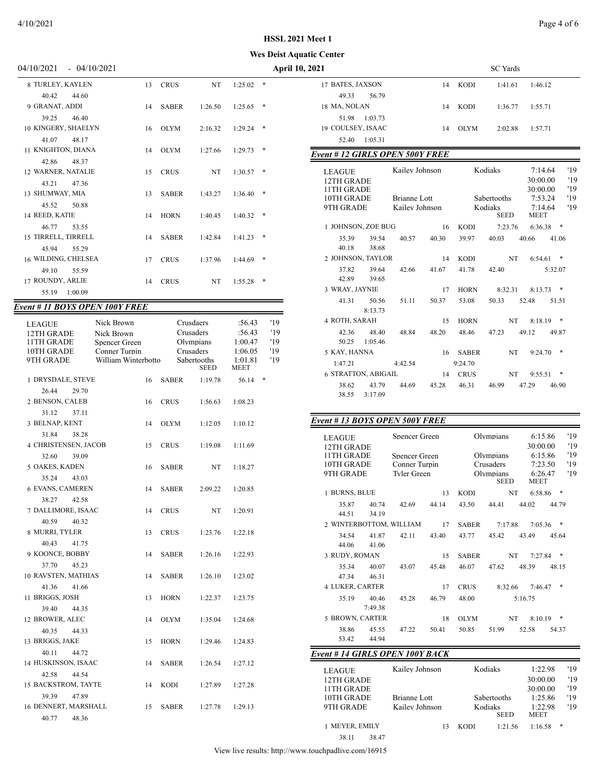#### **Wes Deist Aquatic Center**

| )4/10/2021<br>04/10/2021 |
|--------------------------|
|--------------------------|

| 8 TURLEY, KAYLEN                            | 13 | <b>CRUS</b>  | NT      | 1:25.02 | * |
|---------------------------------------------|----|--------------|---------|---------|---|
| 40.42<br>44.60<br>9 GRANAT, ADDI            | 14 | <b>SABER</b> | 1:26.50 | 1:25.65 | * |
| 39.25<br>46.40                              |    |              |         |         |   |
| 10 KINGERY, SHAELYN<br>41.07<br>48.17       | 16 | <b>OLYM</b>  | 2:16.32 | 1:29.24 | * |
| 11 KNIGHTON, DIANA                          | 14 | <b>OLYM</b>  | 1:27.66 | 1:29.73 | * |
| 42.86<br>48.37<br><b>12 WARNER, NATALIE</b> | 15 | <b>CRUS</b>  | NT      | 1:30.57 | * |
| 43.21<br>47.36                              |    |              |         |         | * |
| 13 SHUMWAY, MIA<br>45.52<br>50.88           | 13 | <b>SABER</b> | 1:43.27 | 1:36.40 |   |
| 14 REED, KATIE                              | 14 | <b>HORN</b>  | 1:40.45 | 1:40.32 | * |
| 46.77<br>53.55<br>15 TIRRELL, TIRRELL       | 14 | <b>SABER</b> | 1:42.84 | 1:41.23 | * |
| 45.94<br>55.29<br>16 WILDING, CHELSEA       | 17 | <b>CRUS</b>  | 1:37.96 | 1:44.69 | * |
| 49.10<br>55.59<br>17 ROUNDY, ARLIE          |    | <b>CRUS</b>  |         |         | * |
| 1:00.09<br>55.19                            | 14 |              | NT      | 1:55.28 |   |
|                                             |    |              |         |         |   |

### *Event # 11 BOYS OPEN 100Y FREE*

| <b>LEAGUE</b>           | Nick Brown          |    |              | Crusdaers                  | :56.43                 | '19    |
|-------------------------|---------------------|----|--------------|----------------------------|------------------------|--------|
| 12TH GRADE              | Nick Brown          |    |              | Crusaders                  | :56.43                 | '19    |
| 11TH GRADE              | Spencer Green       |    |              | Olympians                  | 1:00.47                | '19    |
| 10TH GRADE              | Conner Turpin       |    |              | Crusaders                  | 1:06.05                | '19    |
| 9TH GRADE               | William Winterbotto |    |              | Sabertooths<br><b>SEED</b> | 1:01.81<br><b>MEET</b> | '19    |
| 1 DRYSDALE, STEVE       |                     | 16 | <b>SABER</b> | 1:19.78                    | 56.14                  | $\ast$ |
| 26.44<br>29.70          |                     |    |              |                            |                        |        |
| 2 BENSON, CALEB         |                     | 16 | <b>CRUS</b>  | 1:56.63                    | 1:08.23                |        |
| 31.12<br>37.11          |                     |    |              |                            |                        |        |
| 3 BELNAP, KENT          |                     | 14 | <b>OLYM</b>  | 1:12.05                    | 1:10.12                |        |
| 31.84<br>38.28          |                     |    |              |                            |                        |        |
| 4 CHRISTENSEN, JACOB    |                     | 15 | <b>CRUS</b>  | 1:19.08                    | 1:11.69                |        |
| 32.60<br>39.09          |                     |    |              |                            |                        |        |
| 5 OAKES, KADEN          |                     | 16 | <b>SABER</b> | NT                         | 1:18.27                |        |
| 35.24<br>43.03          |                     |    |              |                            |                        |        |
| <b>6 EVANS, CAMEREN</b> |                     | 14 | <b>SABER</b> | 2:09.22                    | 1:20.85                |        |
| 38.27<br>42.58          |                     |    |              |                            |                        |        |
| 7 DALLIMORE, ISAAC      |                     | 14 | <b>CRUS</b>  | NT                         | 1:20.91                |        |
| 40.59<br>40.32          |                     |    |              |                            |                        |        |
| 8 MURRI, TYLER          |                     | 13 | <b>CRUS</b>  | 1:23.76                    | 1:22.18                |        |
| 40.43<br>41.75          |                     |    |              |                            |                        |        |
| 9 KOONCE, BOBBY         |                     | 14 | <b>SABER</b> | 1:26.16                    | 1:22.93                |        |
| 37.70<br>45.23          |                     |    |              |                            |                        |        |
| 10 RAVSTEN, MATHIAS     |                     | 14 | <b>SABER</b> | 1:26.10                    | 1:23.02                |        |
| 41.36<br>41.66          |                     |    |              |                            |                        |        |
| 11 BRIGGS, JOSH         |                     | 13 | <b>HORN</b>  | 1:22.37                    | 1:23.75                |        |
| 39.40<br>44.35          |                     |    |              |                            |                        |        |
| 12 BROWER, ALEC         |                     | 14 | <b>OLYM</b>  | 1:35.04                    | 1:24.68                |        |
| 40.35<br>44.33          |                     |    |              |                            |                        |        |
| 13 BRIGGS, JAKE         |                     | 15 | <b>HORN</b>  | 1:29.46                    | 1:24.83                |        |
| 40.11<br>44.72          |                     |    |              |                            |                        |        |
| 14 HUSKINSON, ISAAC     |                     | 14 | <b>SABER</b> | 1:26.54                    | 1:27.12                |        |
| 42.58<br>44.54          |                     |    |              |                            |                        |        |
| 15 BACKSTROM, TAYTE     |                     | 14 | KODI         | 1:27.89                    | 1:27.28                |        |
| 39.39<br>47.89          |                     |    |              |                            |                        |        |
| 16 DENNERT, MARSHALL    |                     | 15 | <b>SABER</b> | 1:27.78                    | 1:29.13                |        |
| 40.77<br>48.36          |                     |    |              |                            |                        |        |

| 04/10/2021<br>$-04/10/2021$ |                    |         |             | <b>April 10, 2021</b>   |             | <b>SC</b> Yards |         |
|-----------------------------|--------------------|---------|-------------|-------------------------|-------------|-----------------|---------|
| 8 TURLEY, KAYLEN            | <b>CRUS</b><br>13  | NT      | $1:25.02$ * | 17 BATES, JAXSON<br>14  | <b>KODI</b> | 1:41.61         | 1:46.12 |
| 44.60<br>40.42              |                    |         |             | 56.79<br>49.33          |             |                 |         |
| 9 GRANAT, ADDI              | <b>SABER</b><br>14 | 1:26.50 | $1:25.65$ * | 18 MA, NOLAN<br>14      | <b>KODI</b> | 1:36.77         | 1:55.71 |
| 39.25<br>46.40              |                    |         |             | 1:03.73<br>51.98        |             |                 |         |
| 10 KINGERY, SHAELYN         | <b>OLYM</b><br>16  | 2:16.32 | $1:29.24$ * | 19 COULSEY, ISAAC<br>14 | <b>OLYM</b> | 2:02.88         | 1:57.71 |
| 48.17<br>41.07              |                    |         |             | 1:05.31<br>52.40        |             |                 |         |

### *Event # 12 GIRLS OPEN 500Y FREE*

| <b>LEAGUE</b><br>12TH GRADE<br>11TH GRADE |                  | Kailey Johnson |       |              | Kodiaks                |             | 7:14.64<br>30:00.00<br>30:00.00 |       | '19<br>'19<br>'19 |
|-------------------------------------------|------------------|----------------|-------|--------------|------------------------|-------------|---------------------------------|-------|-------------------|
| 10TH GRADE                                |                  | Brianne Lott   |       |              | Sabertooths            |             | 7:53.24                         |       | '19               |
| 9TH GRADE                                 |                  | Kailey Johnson |       |              | Kodiaks<br><b>SEED</b> | <b>MEET</b> | 7:14.64                         |       | '19               |
| 1 JOHNSON, ZOE BUG                        |                  |                | 16    | <b>KODI</b>  | 7:23.76                |             | 6:36.38                         | *     |                   |
| 35.39                                     | 39.54            | 40.57          | 40.30 | 39.97        | 40.03                  | 40.66       |                                 | 41.06 |                   |
| 40.18                                     | 38.68            |                |       |              |                        |             |                                 |       |                   |
| 2 JOHNSON, TAYLOR                         |                  |                | 14    | <b>KODI</b>  |                        | NT.         | 6:54.61                         | *     |                   |
| 37.82                                     | 39.64            | 42.66          | 41.67 | 41.78        | 42.40                  |             | 5:32.07                         |       |                   |
| 42.89                                     | 39.65            |                |       |              |                        |             |                                 |       |                   |
| 3 WRAY, JAYNIE                            |                  |                | 17    | <b>HORN</b>  | 8:32.31                |             | 8:13.73                         | *     |                   |
| 41.31                                     | 50.56            | 51.11          | 50.37 | 53.08        | 50.33                  | 52.48       |                                 | 51.51 |                   |
|                                           | 8:13.73          |                |       |              |                        |             |                                 |       |                   |
| 4 ROTH, SARAH                             |                  |                | 15    | <b>HORN</b>  |                        | NT.         | 8:18.19                         | *     |                   |
| 42.36                                     | 48.40            | 48.84          | 48.20 | 48.46        | 47.23                  | 49.12       |                                 | 49.87 |                   |
| 50.25                                     | 1:05.46          |                |       |              |                        |             |                                 |       |                   |
| 5 KAY, HANNA                              |                  |                | 16    | <b>SABER</b> |                        | NT          | 9:24.70                         | *     |                   |
| 1:47.21                                   |                  | 4:42.54        |       | 9:24.70      |                        |             |                                 |       |                   |
| 6 STRATTON, ABIGAIL                       |                  |                | 14    | <b>CRUS</b>  |                        | NT          | 9:55.51                         | *     |                   |
| 38.62<br>38.55                            | 43.79<br>3:17.09 | 44.69          | 45.28 | 46.31        | 46.99                  | 47.29       |                                 | 46.90 |                   |

### *Event # 13 BOYS OPEN 500Y FREE*

| <b>LEAGUE</b><br>12TH GRADE |         | Spencer Green |       |              | Olympians   | 30:00.00       | 6:15.86 | '19<br>'19 |
|-----------------------------|---------|---------------|-------|--------------|-------------|----------------|---------|------------|
| 11TH GRADE                  |         | Spencer Green |       | Olympians    |             | 6:15.86        | '19     |            |
| 10TH GRADE                  |         | Conner Turpin |       |              | Crusaders   |                | 7:23.50 | '19        |
| 9TH GRADE                   |         | Tyler Green   |       |              | Olympians   |                | 6:26.47 | '19        |
|                             |         |               |       |              | <b>SEED</b> | <b>MEET</b>    |         |            |
| 1 BURNS, BLUE               |         |               | 13    | <b>KODI</b>  |             | NT<br>6:58.86  | $\ast$  |            |
| 35.87                       | 40.74   | 42.69         | 44.14 | 43.50        | 44.41       | 44.02          | 44.79   |            |
| 44.51                       | 34.19   |               |       |              |             |                |         |            |
| 2 WINTERBOTTOM, WILLIAM     |         |               | 17    | <b>SABER</b> | 7:17.88     | 7:05.36        | ∗       |            |
| 34.54                       | 41.87   | 42.11         | 43.40 | 43.77        | 45.42       | 43.49          | 45.64   |            |
| 44.06                       | 41.06   |               |       |              |             |                |         |            |
| 3 RUDY, ROMAN               |         |               | 15    | <b>SABER</b> |             | NT.<br>7:27.84 | ∗       |            |
| 35.34                       | 40.07   | 43.07         | 45.48 | 46.07        | 47.62       | 48.39          | 48.15   |            |
| 47.34                       | 46.31   |               |       |              |             |                |         |            |
| <b>4 LUKER, CARTER</b>      |         |               | 17    | <b>CRUS</b>  | 8:32.66     | 7:46.47        | *       |            |
| 35.19                       | 40.46   | 45.28         | 46.79 | 48.00        |             | 5:16.75        |         |            |
|                             | 7:49.38 |               |       |              |             |                |         |            |
| 5 BROWN, CARTER             |         |               | 18    | <b>OLYM</b>  |             | NT.<br>8:10.19 | *       |            |
| 38.86                       | 45.55   | 47.22         | 50.41 | 50.85        | 51.99       | 52.58          | 54.37   |            |
| 53.42                       | 44.94   |               |       |              |             |                |         |            |
|                             |         |               |       |              |             |                |         |            |

### *Event # 14 GIRLS OPEN 100Y BACK*

| <b>LEAGUE</b>  |       | Kailev Johnson |             | Kodiaks     | 1:22.98     | '19 |
|----------------|-------|----------------|-------------|-------------|-------------|-----|
| 12TH GRADE     |       |                |             |             | 30:00.00    | '19 |
| 11TH GRADE     |       |                |             |             | 30:00.00    | 19  |
| 10TH GRADE     |       | Brianne Lott   |             | Sabertooths | 1:25.86     | 19  |
| 9TH GRADE      |       | Kailev Johnson |             | Kodiaks     | 1:22.98     | 19  |
|                |       |                |             | <b>SEED</b> | <b>MEET</b> |     |
| 1 MEYER, EMILY |       | 13             | <b>KODI</b> | 1:21.56     | 1:16.58     | *   |
| 38.11          | 38.47 |                |             |             |             |     |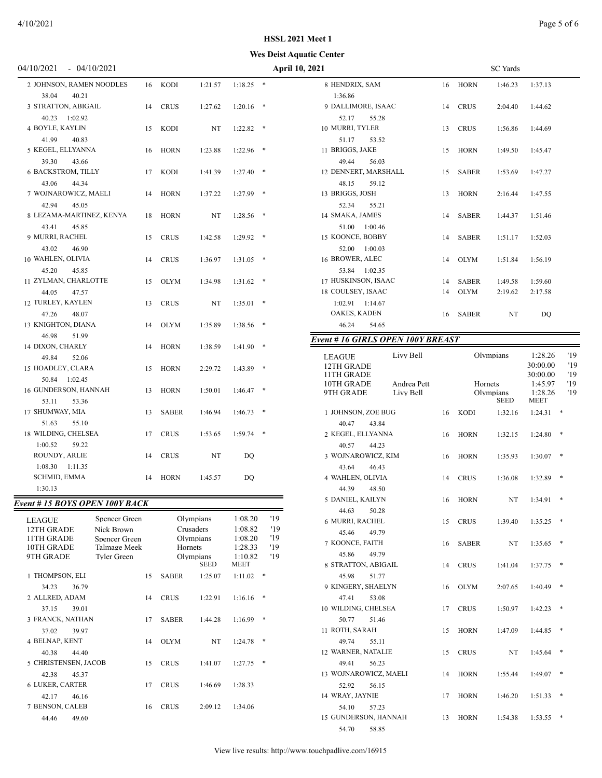#### **Wes Deist Aquatic Center**

| 047 I UZUZ I<br>$-0$ $+10/2021$                           |                             |    |              |                          |                    |   | гуμ        |
|-----------------------------------------------------------|-----------------------------|----|--------------|--------------------------|--------------------|---|------------|
| 2 JOHNSON, RAMEN NOODLES                                  |                             | 16 | KODI         | 1:21.57                  | 1:18.25            | * |            |
| 38.04<br>40.21<br>3 STRATTON, ABIGAIL<br>40.23<br>1:02.92 |                             | 14 | <b>CRUS</b>  | 1:27.62                  | 1:20.16            | * |            |
| <b>4 BOYLE, KAYLIN</b>                                    |                             | 15 | KODI         | NT                       | 1:22.82            | ∗ |            |
| 41.99<br>40.83<br>5 KEGEL, ELLYANNA                       |                             | 16 | <b>HORN</b>  | 1:23.88                  | 1:22.96            | ∗ |            |
| 39.30<br>43.66<br>6 BACKSTROM, TILLY<br>43.06<br>44.34    |                             | 17 | KODI         | 1:41.39                  | 1:27.40            | * |            |
| 7 WOJNAROWICZ, MAELI<br>42.94<br>45.05                    |                             | 14 | <b>HORN</b>  | 1:37.22                  | 1:27.99            | * |            |
| 8 LEZAMA-MARTINEZ, KENYA<br>43.41<br>45.85                |                             | 18 | <b>HORN</b>  | NT                       | 1:28.56            | * |            |
| 9 MURRI, RACHEL                                           |                             | 15 | <b>CRUS</b>  | 1:42.58                  | 1:29.92            | * |            |
| 43.02<br>46.90<br>10 WAHLEN, OLIVIA<br>45.20<br>45.85     |                             | 14 | <b>CRUS</b>  | 1:36.97                  | 1:31.05            | ∗ |            |
| 11 ZYLMAN, CHARLOTTE<br>44.05<br>47.57                    |                             | 15 | OLYM         | 1:34.98                  | 1:31.62            | * |            |
| 12 TURLEY, KAYLEN<br>47.26<br>48.07                       |                             | 13 | <b>CRUS</b>  | NT                       | 1:35.01            | * |            |
| 13 KNIGHTON, DIANA<br>46.98<br>51.99                      |                             | 14 | OLYM         | 1:35.89                  | 1:38.56            | ∗ |            |
| 14 DIXON, CHARLY<br>49.84<br>52.06                        |                             | 14 | <b>HORN</b>  | 1:38.59                  | 1:41.90            | * |            |
| 15 HOADLEY, CLARA<br>50.84 1:02.45                        |                             | 15 | <b>HORN</b>  | 2:29.72                  | 1:43.89            | * |            |
| 16 GUNDERSON, HANNAH<br>53.11<br>53.36                    |                             | 13 | <b>HORN</b>  | 1:50.01                  | 1:46.47            | * |            |
| 17 SHUMWAY, MIA<br>51.63<br>55.10                         |                             | 13 | SABER        | 1:46.94                  | 1:46.73            | * |            |
| 18 WILDING, CHELSEA                                       |                             | 17 | <b>CRUS</b>  | 1:53.65                  | 1:59.74            | * |            |
| 1:00.52<br>59.22<br>ROUNDY, ARLIE                         |                             | 14 | <b>CRUS</b>  | NT                       | DO                 |   |            |
| 1:08.30<br>1:11.35<br>SCHMID, EMMA                        |                             | 14 | HORN         | 1:45.57                  | DQ                 |   |            |
| 1:30.13                                                   |                             |    |              |                          |                    |   |            |
| Event # 15 BOYS OPEN 100Y BACK                            |                             |    |              |                          |                    |   |            |
| <b>LEAGUE</b>                                             | Spencer Green               |    |              | Olympians                | 1:08.20            |   | '19        |
| 12TH GRADE<br>11TH GRADE                                  | Nick Brown<br>Spencer Green |    |              | Crusaders<br>Olympians   | 1:08.82<br>1:08.20 |   | '19<br>'19 |
| 10TH GRADE                                                | Talmage Meek                |    | Hornets      |                          | 1:28.33            |   | '19        |
| 9TH GRADE                                                 | <b>Tyler Green</b>          |    |              | Olympians<br><b>SEED</b> | 1:10.82<br>MEET    |   | '19        |
| 1 THOMPSON, ELI                                           |                             | 15 | <b>SABER</b> | 1:25.07                  | 1:11.02            | * |            |
| 34.23<br>36.79<br>2 ALLRED, ADAM                          |                             | 14 | <b>CRUS</b>  | 1:22.91                  | 1:16.16            | ∗ |            |
| 37.15<br>39.01<br>3 FRANCK, NATHAN                        |                             | 17 | <b>SABER</b> | 1:44.28                  | 1:16.99            | * |            |
| 37.02<br>39.97<br>4 BELNAP, KENT                          |                             | 14 | <b>OLYM</b>  | NT                       | 1:24.78            | * |            |
| 40.38<br>44.40<br>5 CHRISTENSEN, JACOB                    |                             | 15 | <b>CRUS</b>  | 1:41.07                  | 1:27.75            | * |            |
| 42.38<br>45.37<br>6 LUKER, CARTER                         |                             | 17 | <b>CRUS</b>  | 1:46.69                  | 1:28.33            |   |            |
| 42.17<br>46.16<br>7 BENSON, CALEB<br>44.46<br>49.60       |                             | 16 | <b>CRUS</b>  | 2:09.12                  | 1:34.06            |   |            |
|                                                           |                             |    |              |                          |                    |   |            |

| 04/10/2021<br>$-04/10/2021$                             |    |              |                        |                    |            | <b>April 10, 2021</b>            |    |              | <b>SC</b> Yards |                      |            |
|---------------------------------------------------------|----|--------------|------------------------|--------------------|------------|----------------------------------|----|--------------|-----------------|----------------------|------------|
| 2 JOHNSON, RAMEN NOODLES                                |    | 16 KODI      | 1:21.57                | $1:18.25$ *        |            | 8 HENDRIX, SAM                   | 16 | <b>HORN</b>  | 1:46.23         | 1:37.13              |            |
| 40.21<br>38.04                                          |    |              |                        |                    |            | 1:36.86                          |    |              |                 |                      |            |
| 3 STRATTON, ABIGAIL                                     | 14 | <b>CRUS</b>  | 1:27.62                | $1:20.16$ *        |            | 9 DALLIMORE, ISAAC               | 14 | <b>CRUS</b>  | 2:04.40         | 1:44.62              |            |
| 1:02.92<br>40.23                                        |    |              |                        |                    |            | 52.17<br>55.28                   |    |              |                 |                      |            |
| 4 BOYLE, KAYLIN                                         | 15 | KODI         | NT                     | $1:22.82$ *        |            | 10 MURRI, TYLER                  | 13 | <b>CRUS</b>  | 1:56.86         | 1:44.69              |            |
| 41.99<br>40.83                                          |    |              |                        |                    |            | 51.17<br>53.52                   |    |              |                 |                      |            |
| 5 KEGEL, ELLYANNA                                       | 16 | HORN         | 1:23.88                | $1:22.96$ *        |            | 11 BRIGGS, JAKE                  | 15 | <b>HORN</b>  | 1:49.50         | 1:45.47              |            |
| 39.30<br>43.66                                          |    |              |                        |                    |            | 49.44<br>56.03                   |    |              |                 |                      |            |
| <b>6 BACKSTROM, TILLY</b>                               | 17 | KODI         | 1:41.39                | $1:27.40$ *        |            | 12 DENNERT, MARSHALL             | 15 | <b>SABER</b> | 1:53.69         | 1:47.27              |            |
| 43.06<br>44.34                                          |    |              |                        |                    |            | 48.15<br>59.12                   |    |              |                 |                      |            |
| 7 WOJNAROWICZ, MAELI                                    | 14 | <b>HORN</b>  | 1:37.22                | $1:27.99$ *        |            | 13 BRIGGS, JOSH                  | 13 | <b>HORN</b>  | 2:16.44         | 1:47.55              |            |
| 42.94<br>45.05                                          |    |              |                        |                    |            | 52.34<br>55.21                   |    |              |                 |                      |            |
| 8 LEZAMA-MARTINEZ, KENYA                                | 18 | HORN         | NT                     | $1:28.56$ *        |            | 14 SMAKA, JAMES                  | 14 | <b>SABER</b> | 1:44.37         | 1:51.46              |            |
| 43.41<br>45.85                                          |    |              |                        |                    |            | 51.00<br>1:00.46                 |    |              |                 |                      |            |
| 9 MURRI, RACHEL                                         | 15 | <b>CRUS</b>  | 1:42.58                | $1:29.92$ *        |            | 15 KOONCE, BOBBY                 | 14 | <b>SABER</b> | 1:51.17         | 1:52.03              |            |
| 43.02<br>46.90                                          |    |              |                        |                    |            | 52.00<br>1:00.03                 |    |              |                 |                      |            |
| 10 WAHLEN, OLIVIA                                       | 14 | <b>CRUS</b>  | 1:36.97                | $1:31.05$ *        |            | 16 BROWER, ALEC                  | 14 | <b>OLYM</b>  | 1:51.84         | 1:56.19              |            |
| 45.20<br>45.85                                          |    |              |                        |                    |            | 53.84 1:02.35                    |    |              |                 |                      |            |
| 11 ZYLMAN, CHARLOTTE                                    | 15 | <b>OLYM</b>  | 1:34.98                | $1:31.62$ *        |            | 17 HUSKINSON, ISAAC              | 14 | <b>SABER</b> | 1:49.58         | 1:59.60              |            |
| 44.05<br>47.57                                          |    |              |                        |                    |            | 18 COULSEY, ISAAC                | 14 | <b>OLYM</b>  | 2:19.62         | 2:17.58              |            |
| 12 TURLEY, KAYLEN                                       | 13 | <b>CRUS</b>  | NT                     | $1:35.01$ *        |            | 1:02.91  1:14.67                 |    |              |                 |                      |            |
| 48.07<br>47.26                                          |    |              |                        |                    |            | OAKES, KADEN                     | 16 | <b>SABER</b> | NT              | DQ                   |            |
| 13 KNIGHTON, DIANA                                      | 14 | <b>OLYM</b>  | 1:35.89                | $1:38.56$ *        |            | 46.24<br>54.65                   |    |              |                 |                      |            |
| 46.98<br>51.99                                          |    |              |                        |                    |            | Event #16 GIRLS OPEN 100Y BREAST |    |              |                 |                      |            |
| 14 DIXON, CHARLY                                        | 14 | HORN         | 1:38.59                | $1:41.90$ *        |            |                                  |    |              |                 |                      |            |
| 49.84<br>52.06                                          |    |              |                        |                    |            | Livy Bell<br><b>LEAGUE</b>       |    |              | Olympians       | 1:28.26              | '19<br>'19 |
| 15 HOADLEY, CLARA                                       | 15 | HORN         | 2:29.72                | $1:43.89$ *        |            | 12TH GRADE<br>11TH GRADE         |    |              |                 | 30:00.00<br>30:00.00 | '19        |
| 50.84<br>1:02.45                                        |    |              |                        |                    |            | 10TH GRADE<br>Andrea Pett        |    | Hornets      |                 | 1:45.97              | '19        |
| 16 GUNDERSON, HANNAH                                    | 13 | <b>HORN</b>  | 1:50.01                | $1:46.47$ *        |            | 9TH GRADE<br>Livy Bell           |    |              | Olympians       | 1:28.26              | '19        |
| 53.36<br>53.11                                          |    |              |                        |                    |            |                                  |    |              | <b>SEED</b>     | MEET                 |            |
| 17 SHUMWAY, MIA                                         | 13 | <b>SABER</b> | 1:46.94                | $1:46.73$ *        |            | 1 JOHNSON, ZOE BUG               | 16 | <b>KODI</b>  | 1:32.16         | 1:24.31              | $\ast$     |
| 51.63<br>55.10                                          |    |              |                        |                    |            | 40.47<br>43.84                   |    |              |                 |                      |            |
| 18 WILDING, CHELSEA                                     | 17 | <b>CRUS</b>  | 1:53.65                | $1:59.74$ *        |            | 2 KEGEL, ELLYANNA                | 16 | <b>HORN</b>  | 1:32.15         | $1:24.80$ *          |            |
| 1:00.52<br>59.22                                        |    |              |                        |                    |            | 40.57<br>44.23                   |    |              |                 |                      |            |
| ROUNDY, ARLIE                                           | 14 | <b>CRUS</b>  | NT                     | DQ                 |            | 3 WOJNAROWICZ, KIM               | 16 | <b>HORN</b>  | 1:35.93         | $1:30.07$ *          |            |
| $1:08.30$ $1:11.35$                                     |    |              |                        |                    |            | 43.64<br>46.43                   |    |              |                 |                      |            |
| <b>SCHMID, EMMA</b>                                     | 14 | <b>HORN</b>  | 1:45.57                | DQ                 |            | 4 WAHLEN, OLIVIA                 | 14 | <b>CRUS</b>  | 1:36.08         | $1:32.89$ *          |            |
| 1:30.13                                                 |    |              |                        |                    |            | 44.39<br>48.50                   |    |              |                 |                      |            |
| <b>Event #15 BOYS OPEN 100Y BACK</b>                    |    |              |                        |                    |            | 5 DANIEL, KAILYN                 |    | 16 HORN      | NT              | $1:34.91$ *          |            |
|                                                         |    |              |                        |                    |            | 44.63<br>50.28                   |    |              |                 |                      |            |
| Spencer Green<br>LEAGUE                                 |    |              | Olympians<br>Crusaders | 1:08.20<br>1:08.82 | '19<br>'19 | 6 MURRI, RACHEL                  | 15 | <b>CRUS</b>  | 1:39.40         | $1:35.25$ *          |            |
| 12TH GRADE<br>Nick Brown<br>11TH GRADE<br>Spencer Green |    |              | Olympians              | 1:08.20            | '19        | 45.46<br>49.79                   |    |              |                 |                      |            |
| 10TH GRADE<br>Talmage Meek                              |    | Hornets      |                        | 1:28.33            | '19        | 7 KOONCE, FAITH                  | 16 | <b>SABER</b> | NT              | $1:35.65$ *          |            |
| 9TH GRADE<br><b>Tyler Green</b>                         |    |              | Olympians              | 1:10.82            | '19        | 45.86<br>49.79                   |    |              |                 |                      |            |
|                                                         |    |              | SEED                   | <b>MEET</b>        |            | 8 STRATTON, ABIGAIL              | 14 | <b>CRUS</b>  | 1:41.04         | $1:37.75$ *          |            |
| 1 THOMPSON, ELI                                         |    | 15 SABER     | 1:25.07                | $1:11.02$ *        |            | 45.98<br>51.77                   |    |              |                 |                      |            |
| 34.23<br>36.79                                          |    |              |                        |                    |            | 9 KINGERY, SHAELYN               | 16 | OLYM         | 2:07.65         | $1:40.49$ *          |            |
| 2 ALLRED, ADAM                                          | 14 | <b>CRUS</b>  | 1:22.91                | $1:16.16$ *        |            | 47.41<br>53.08                   |    |              |                 |                      |            |
| 37.15<br>39.01                                          |    |              |                        |                    |            | 10 WILDING, CHELSEA              |    | 17 CRUS      | 1:50.97         | $1:42.23$ *          |            |

11 ROTH, SARAH 15 HORN 1:47.09 1:44.85 \*

12 WARNER, NATALIE 15 CRUS NT 1:45.64 \*

13 WOJNAROWICZ, MAELI 14 HORN 1:55.44 1:49.07 \*

14 WRAY, JAYNIE 17 HORN 1:46.20 1:51.33 \*

15 GUNDERSON, HANNAH 13 HORN 1:54.38 1:53.55 \*

50.77 51.46

49.74 55.11

49.41 56.23

52.92 56.15

54.10 57.23

54.70 58.85